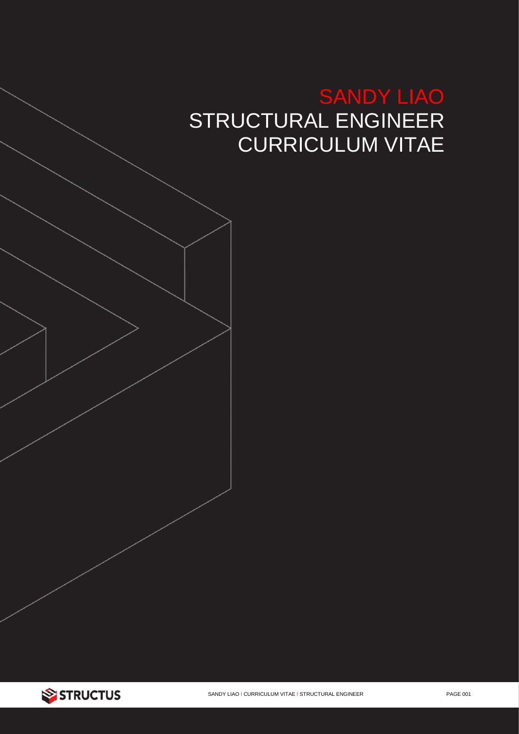# SANDY LIAO STRUCTURAL ENGINEER CURRICULUM VITAE

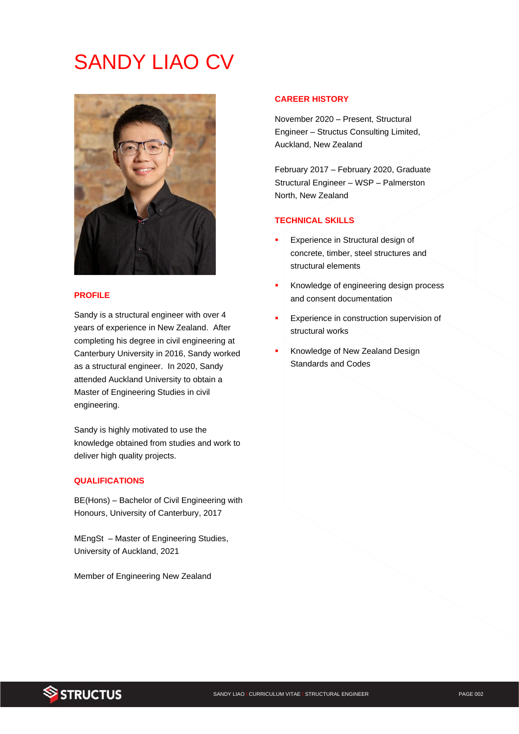# SANDY LIAO CV



## **PROFILE**

Sandy is a structural engineer with over 4 years of experience in New Zealand. After completing his degree in civil engineering at Canterbury University in 2016, Sandy worked as a structural engineer. In 2020, Sandy attended Auckland University to obtain a Master of Engineering Studies in civil engineering.

Sandy is highly motivated to use the knowledge obtained from studies and work to deliver high quality projects.

#### **QUALIFICATIONS**

BE(Hons) – Bachelor of Civil Engineering with Honours, University of Canterbury, 2017

MEngSt – Master of Engineering Studies, University of Auckland, 2021

Member of Engineering New Zealand

## **CAREER HISTORY**

November 2020 – Present, Structural Engineer – Structus Consulting Limited, Auckland, New Zealand

February 2017 – February 2020, Graduate Structural Engineer – WSP – Palmerston North, New Zealand

## **TECHNICAL SKILLS**

- Experience in Structural design of concrete, timber, steel structures and structural elements
- Knowledge of engineering design process and consent documentation
- Experience in construction supervision of structural works
- Knowledge of New Zealand Design Standards and Codes

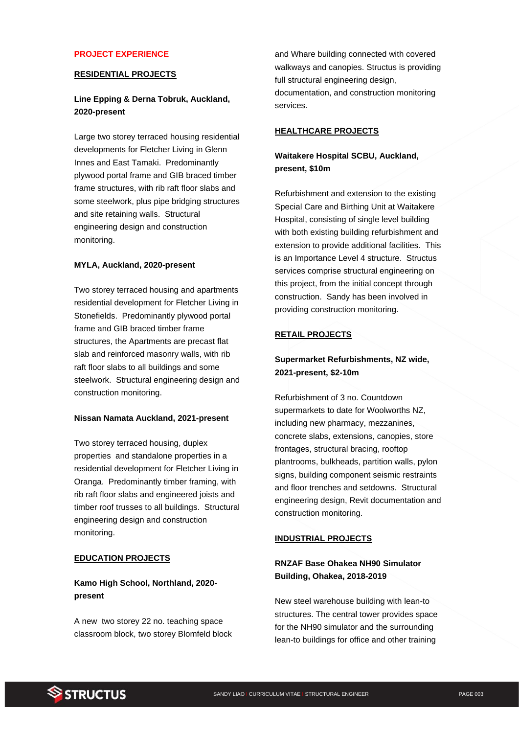#### **PROJECT EXPERIENCE**

## **RESIDENTIAL PROJECTS**

# **Line Epping & Derna Tobruk, Auckland, 2020-present**

Large two storey terraced housing residential developments for Fletcher Living in Glenn Innes and East Tamaki. Predominantly plywood portal frame and GIB braced timber frame structures, with rib raft floor slabs and some steelwork, plus pipe bridging structures and site retaining walls. Structural engineering design and construction monitoring.

#### **MYLA, Auckland, 2020-present**

Two storey terraced housing and apartments residential development for Fletcher Living in Stonefields. Predominantly plywood portal frame and GIB braced timber frame structures, the Apartments are precast flat slab and reinforced masonry walls, with rib raft floor slabs to all buildings and some steelwork. Structural engineering design and construction monitoring.

#### **Nissan Namata Auckland, 2021-present**

Two storey terraced housing, duplex properties and standalone properties in a residential development for Fletcher Living in Oranga. Predominantly timber framing, with rib raft floor slabs and engineered joists and timber roof trusses to all buildings. Structural engineering design and construction monitoring.

### **EDUCATION PROJECTS**

# **Kamo High School, Northland, 2020 present**

A new two storey 22 no. teaching space classroom block, two storey Blomfeld block

and Whare building connected with covered walkways and canopies. Structus is providing full structural engineering design, documentation, and construction monitoring services.

#### **HEALTHCARE PROJECTS**

# **Waitakere Hospital SCBU, Auckland, present, \$10m**

Refurbishment and extension to the existing Special Care and Birthing Unit at Waitakere Hospital, consisting of single level building with both existing building refurbishment and extension to provide additional facilities. This is an Importance Level 4 structure. Structus services comprise structural engineering on this project, from the initial concept through construction. Sandy has been involved in providing construction monitoring.

### **RETAIL PROJECTS**

# **Supermarket Refurbishments, NZ wide, 2021-present, \$2-10m**

Refurbishment of 3 no. Countdown supermarkets to date for Woolworths NZ, including new pharmacy, mezzanines, concrete slabs, extensions, canopies, store frontages, structural bracing, rooftop plantrooms, bulkheads, partition walls, pylon signs, building component seismic restraints and floor trenches and setdowns. Structural engineering design, Revit documentation and construction monitoring.

#### **INDUSTRIAL PROJECTS**

# **RNZAF Base Ohakea NH90 Simulator Building, Ohakea, 2018-2019**

New steel warehouse building with lean-to structures. The central tower provides space for the NH90 simulator and the surrounding lean-to buildings for office and other training

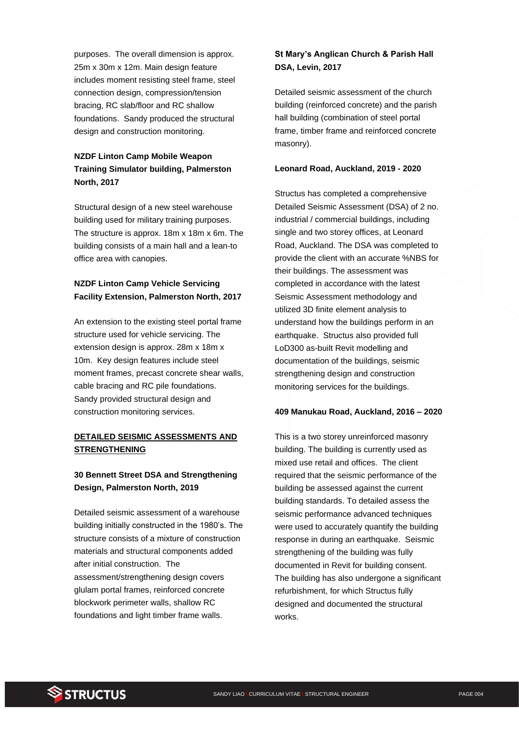purposes. The overall dimension is approx. 25m x 30m x 12m. Main design feature includes moment resisting steel frame, steel connection design, compression/tension bracing, RC slab/floor and RC shallow foundations. Sandy produced the structural design and construction monitoring.

# **NZDF Linton Camp Mobile Weapon Training Simulator building, Palmerston North, 2017**

Structural design of a new steel warehouse building used for military training purposes. The structure is approx. 18m x 18m x 6m. The building consists of a main hall and a lean-to office area with canopies.

# **NZDF Linton Camp Vehicle Servicing Facility Extension, Palmerston North, 2017**

An extension to the existing steel portal frame structure used for vehicle servicing. The extension design is approx. 28m x 18m x 10m. Key design features include steel moment frames, precast concrete shear walls, cable bracing and RC pile foundations. Sandy provided structural design and construction monitoring services.

# **DETAILED SEISMIC ASSESSMENTS AND STRENGTHENING**

# **30 Bennett Street DSA and Strengthening Design, Palmerston North, 2019**

Detailed seismic assessment of a warehouse building initially constructed in the 1980's. The structure consists of a mixture of construction materials and structural components added after initial construction. The assessment/strengthening design covers glulam portal frames, reinforced concrete blockwork perimeter walls, shallow RC foundations and light timber frame walls.

# **St Mary's Anglican Church & Parish Hall DSA, Levin, 2017**

Detailed seismic assessment of the church building (reinforced concrete) and the parish hall building (combination of steel portal frame, timber frame and reinforced concrete masonry).

### **Leonard Road, Auckland, 2019 - 2020**

Structus has completed a comprehensive Detailed Seismic Assessment (DSA) of 2 no. industrial / commercial buildings, including single and two storey offices, at Leonard Road, Auckland. The DSA was completed to provide the client with an accurate %NBS for their buildings. The assessment was completed in accordance with the latest Seismic Assessment methodology and utilized 3D finite element analysis to understand how the buildings perform in an earthquake. Structus also provided full LoD300 as-built Revit modelling and documentation of the buildings, seismic strengthening design and construction monitoring services for the buildings.

### **409 Manukau Road, Auckland, 2016 – 2020**

This is a two storey unreinforced masonry building. The building is currently used as mixed use retail and offices. The client required that the seismic performance of the building be assessed against the current building standards. To detailed assess the seismic performance advanced techniques were used to accurately quantify the building response in during an earthquake. Seismic strengthening of the building was fully documented in Revit for building consent. The building has also undergone a significant refurbishment, for which Structus fully designed and documented the structural works.